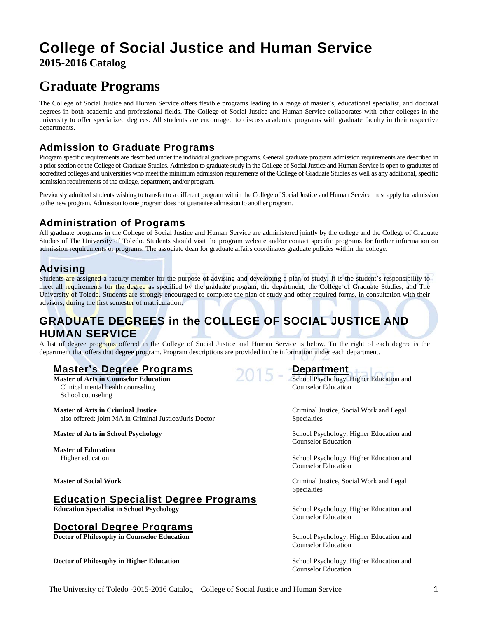# **College of Social Justice and Human Service 2015-2016 Catalog**

# **Graduate Programs**

The College of Social Justice and Human Service offers flexible programs leading to a range of master's, educational specialist, and doctoral degrees in both academic and professional fields. The College of Social Justice and Human Service collaborates with other colleges in the university to offer specialized degrees. All students are encouraged to discuss academic programs with graduate faculty in their respective departments.

# **Admission to Graduate Programs**

Program specific requirements are described under the individual graduate programs. General graduate program admission requirements are described in a prior section of the College of Graduate Studies. Admission to graduate study in the College of Social Justice and Human Service is open to graduates of accredited colleges and universities who meet the minimum admission requirements of the College of Graduate Studies as well as any additional, specific admission requirements of the college, department, and/or program.

Previously admitted students wishing to transfer to a different program within the College of Social Justice and Human Service must apply for admission to the new program. Admission to one program does not guarantee admission to another program.

# **Administration of Programs**

All graduate programs in the College of Social Justice and Human Service are administered jointly by the college and the College of Graduate Studies of The University of Toledo. Students should visit the program website and/or contact specific programs for further information on admission requirements or programs. The associate dean for graduate affairs coordinates graduate policies within the college.

# **Advising**

Students are assigned a faculty member for the purpose of advising and developing a plan of study. It is the student's responsibility to meet all requirements for the degree as specified by the graduate program, the department, the College of Graduate Studies, and The University of Toledo. Students are strongly encouraged to complete the plan of study and other required forms, in consultation with their advisors, during the first semester of matriculation.

# **GRADUATE DEGREES in the COLLEGE OF SOCIAL JUSTICE AND HUMAN SERVICE**

A list of degree programs offered in the College of Social Justice and Human Service is below. To the right of each degree is the department that offers that degree program. Program descriptions are provided in the information under each department.

# **Master's Degree Programs Department**

Clinical mental health counseling Counselor Education School counseling

**Master of Arts in Criminal Justice** Criminal Justice, Social Work and Legal also offered: joint MA in Criminal Justice/Juris Doctor Specialties

**Master of Education**

# **Education Specialist Degree Programs**<br> **Education Specialist in School Psychology**

# **Doctoral Degree Programs**

**Doctor of Philosophy in Higher Education** School Psychology, Higher Education and

**Master of Arts in Counselor Education** School Psychology, Higher Education and

**Master of Arts in School Psychology and Psychology and School Psychology, Higher Education and School Psychology** Counselor Education

Higher education School Psychology, Higher Education and School Psychology, Higher Education and Counselor Education

**Master of Social Work** Criminal Justice, Social Work and Legal Specialties

> **School Psychology, Higher Education and** Counselor Education

**Doctor of Philosophy in Counselor Education** School Psychology, Higher Education and Counselor Education

Counselor Education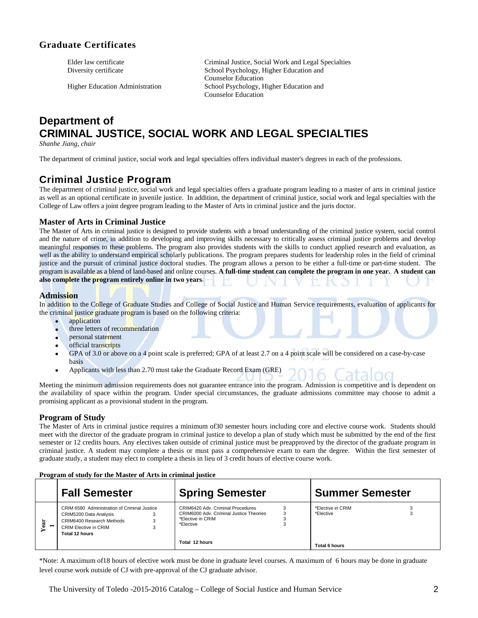# **Graduate Certificates**

Elder law certificate Criminal Justice, Social Work and Legal Specialties<br>Diversity certificate Criminal School Psychology, Higher Education and School Psychology, Higher Education and Counselor Education Higher Education Administration School Psychology, Higher Education and Counselor Education

# **Department of CRIMINAL JUSTICE, SOCIAL WORK AND LEGAL SPECIALTIES**

*Shanhe Jiang, chair*

The department of criminal justice, social work and legal specialties offers individual master's degrees in each of the professions.

# **Criminal Justice Program**

The department of criminal justice, social work and legal specialties offers a graduate program leading to a master of arts in criminal justice as well as an optional certificate in juvenile justice. In addition, the department of criminal justice, social work and legal specialties with the College of Law offers a joint degree program leading to the Master of Arts in criminal justice and the juris doctor.

# **Master of Arts in Criminal Justice**

The Master of Arts in criminal justice is designed to provide students with a broad understanding of the criminal justice system, social control and the nature of crime, in addition to developing and improving skills necessary to critically assess criminal justice problems and develop meaningful responses to these problems. The program also provides students with the skills to conduct applied research and evaluation, as well as the ability to understand empirical scholarly publications. The program prepares students for leadership roles in the field of criminal justice and the pursuit of criminal justice doctoral studies. The program allows a person to be either a full-time or part-time student. The program is available as a blend of land-based and online courses. **A full-time student can complete the program in one year. A student can also complete the program entirely online in two years**.

# **Admission**

In addition to the College of Graduate Studies and College of Social Justice and Human Service requirements, evaluation of applicants for the criminal justice graduate program is based on the following criteria:

- application
- three letters of recommendation
- personal statement
- official transcripts
- GPA of 3.0 or above on a 4 point scale is preferred; GPA of at least 2.7 on a 4 point scale will be considered on a case-by-case basis
- Applicants with less than 2.70 must take the Graduate Record Exam (GRE)

Meeting the minimum admission requirements does not guarantee entrance into the program. Admission is competitive and is dependent on the availability of space within the program. Under special circumstances, the graduate admissions committee may choose to admit a promising applicant as a provisional student in the program.

# **Program of Study**

The Master of Arts in criminal justice requires a minimum of30 semester hours including core and elective course work. Students should meet with the director of the graduate program in criminal justice to develop a plan of study which must be submitted by the end of the first semester or 12 credits hours. Any electives taken outside of criminal justice must be preapproved by the director of the graduate program in criminal justice. A student may complete a thesis or must pass a comprehensive exam to earn the degree. Within the first semester of graduate study, a student may elect to complete a thesis in lieu of 3 credit hours of elective course work.

#### **Program of study for the Master of Arts in criminal justice**

| <b>Fall Semester</b>                                                                                                                           | <b>Spring Semester</b>                                                                                         | <b>Summer Semester</b>         |
|------------------------------------------------------------------------------------------------------------------------------------------------|----------------------------------------------------------------------------------------------------------------|--------------------------------|
| CRIM 6590 Administration of Criminal Justice<br>CRIM5200 Data Analysis<br>CRIM6400 Research Methods<br>CRIM Elective in CRIM<br>Total 12 hours | CRIM6420 Adv. Criminal Procedures<br>CRIM6000 Adv. Criminal Justice Theories<br>*Elective in CRIM<br>*Elective | *Elective in CRIM<br>*Elective |
|                                                                                                                                                | Total 12 hours                                                                                                 | Total 6 hours                  |

\*Note: A maximum of18 hours of elective work must be done in graduate level courses. A maximum of 6 hours may be done in graduate level course work outside of CJ with pre-approval of the CJ graduate advisor.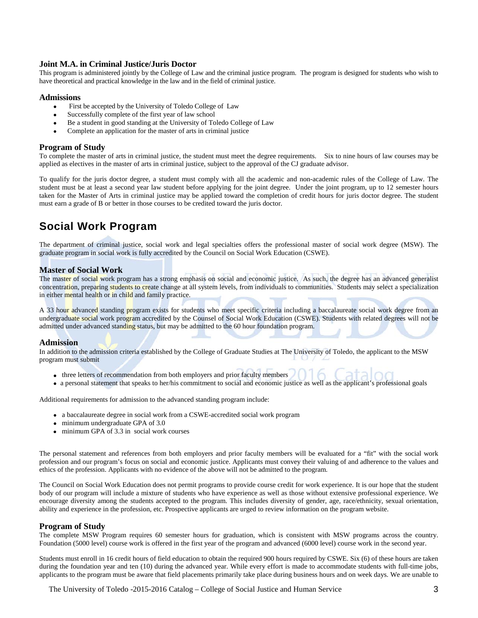## **Joint M.A. in Criminal Justice/Juris Doctor**

This program is administered jointly by the College of Law and the criminal justice program. The program is designed for students who wish to have theoretical and practical knowledge in the law and in the field of criminal justice.

#### **Admissions**

- First be accepted by the University of Toledo College of Law
- Successfully complete of the first year of law school
- Be a student in good standing at the University of Toledo College of Law
- Complete an application for the master of arts in criminal justice

## **Program of Study**

To complete the master of arts in criminal justice, the student must meet the degree requirements. Six to nine hours of law courses may be applied as electives in the master of arts in criminal justice, subject to the approval of the CJ graduate advisor.

To qualify for the juris doctor degree, a student must comply with all the academic and non-academic rules of the College of Law. The student must be at least a second year law student before applying for the joint degree. Under the joint program, up to 12 semester hours taken for the Master of Arts in criminal justice may be applied toward the completion of credit hours for juris doctor degree. The student must earn a grade of B or better in those courses to be credited toward the juris doctor.

# **Social Work Program**

The department of criminal justice, social work and legal specialties offers the professional master of social work degree (MSW). The graduate program in social work is fully accredited by the Council on Social Work Education (CSWE).

#### **Master of Social Work**

The master of social work program has a strong emphasis on social and economic justice. As such, the degree has an advanced generalist concentration, preparing students to create change at all system levels, from individuals to communities. Students may select a specialization in either mental health or in child and family practice.

A 33 hour advanced standing program exists for students who meet specific criteria including a baccalaureate social work degree from an undergraduate social work program accredited by the Counsel of Social Work Education (CSWE). Students with related degrees will not be admitted under advanced standing status, but may be admitted to the 60 hour foundation program.

#### **Admission**

In addition to the admission criteria established by the College of Graduate Studies at The University of Toledo, the applicant to the MSW program must submit

- three letters of recommendation from both employers and prior faculty members
- a personal statement that speaks to her/his commitment to social and economic justice as well as the applicant's professional goals

Additional requirements for admission to the advanced standing program include:

- a baccalaureate degree in social work from a CSWE-accredited social work program
- minimum undergraduate GPA of 3.0
- minimum GPA of 3.3 in social work courses

The personal statement and references from both employers and prior faculty members will be evaluated for a "fit" with the social work profession and our program's focus on social and economic justice. Applicants must convey their valuing of and adherence to the values and ethics of the profession. Applicants with no evidence of the above will not be admitted to the program.

The Council on Social Work Education does not permit programs to provide course credit for work experience. It is our hope that the student body of our program will include a mixture of students who have experience as well as those without extensive professional experience. We encourage diversity among the students accepted to the program. This includes diversity of gender, age, race/ethnicity, sexual orientation, ability and experience in the profession, etc. Prospective applicants are urged to review information on the program website.

#### **Program of Study**

The complete MSW Program requires 60 semester hours for graduation, which is consistent with MSW programs across the country. Foundation (5000 level) course work is offered in the first year of the program and advanced (6000 level) course work in the second year.

Students must enroll in 16 credit hours of field education to obtain the required 900 hours required by CSWE. Six (6) of these hours are taken during the foundation year and ten (10) during the advanced year. While every effort is made to accommodate students with full-time jobs, applicants to the program must be aware that field placements primarily take place during business hours and on week days. We are unable to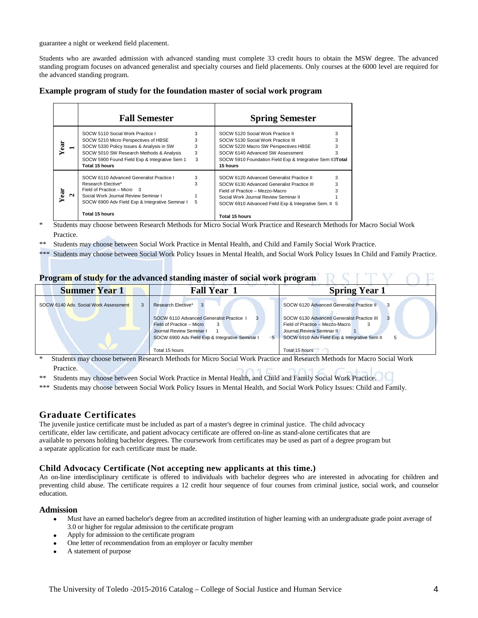guarantee a night or weekend field placement.

Students who are awarded admission with advanced standing must complete 33 credit hours to obtain the MSW degree. The advanced standing program focuses on advanced generalist and specialty courses and field placements. Only courses at the 6000 level are required for the advanced standing program.

| Example program of study for the foundation master of social work program |  |  |  |  |  |  |  |
|---------------------------------------------------------------------------|--|--|--|--|--|--|--|
|---------------------------------------------------------------------------|--|--|--|--|--|--|--|

|                     | <b>Fall Semester</b>                                                                                                                                                                                                                |                       | <b>Spring Semester</b>                                                                                                                                                                                                                               |        |
|---------------------|-------------------------------------------------------------------------------------------------------------------------------------------------------------------------------------------------------------------------------------|-----------------------|------------------------------------------------------------------------------------------------------------------------------------------------------------------------------------------------------------------------------------------------------|--------|
| ā<br>$\blacksquare$ | SOCW 5110 Social Work Practice I<br>SOCW 5210 Micro Perspectives of HBSE<br>SOCW 5330 Policy Issues & Analysis in SW<br>SOCW 5010 SW Research Methods & Analysis<br>SOCW 5900 Found Field Exp & Integrative Sem 1<br>Total 15 hours | 3<br>3<br>3<br>3<br>3 | SOCW 5120 Social Work Practice II<br>SOCW 5130 Social Work Practice III<br>SOCW 5220 Macro SW Perspectives HBSE<br>SOCW 6140 Advanced SW Assessment<br>SOCW 5910 Foundation Field Exp & Integrative Sem II3Total<br>15 hours                         | 3<br>3 |
| ā<br>N              | SOCW 6110 Advanced Generalist Practice I<br>Research Elective*<br>Field of Practice - Micro 3<br>Social Work Journal Review Seminar I<br>SOCW 6900 Adv Field Exp & Integrative Seminar I<br>Total 15 hours                          | 3<br>3<br>5           | SOCW 6120 Advanced Generalist Practice II<br>SOCW 6130 Advanced Generalist Practice III<br>Field of Practice - Mezzo-Macro<br>Social Work Journal Review Seminar II<br>SOCW 6910 Advanced Field Exp & Integrative Sem. II 5<br><b>Total 15 hours</b> |        |

\* Students may choose between Research Methods for Micro Social Work Practice and Research Methods for Macro Social Work Practice.

- Students may choose between Social Work Practice in Mental Health, and Child and Family Social Work Practice.
- \*\*\* Students may choose between Social Work Policy Issues in Mental Health, and Social Work Policy Issues In Child and Family Practice.

| Program of study for the advanced standing master of social work program |                                                                                                                                                                                                                                                                                                                                                                                                                                                              |                                                                                                                                                            |  |  |  |  |
|--------------------------------------------------------------------------|--------------------------------------------------------------------------------------------------------------------------------------------------------------------------------------------------------------------------------------------------------------------------------------------------------------------------------------------------------------------------------------------------------------------------------------------------------------|------------------------------------------------------------------------------------------------------------------------------------------------------------|--|--|--|--|
| <b>Summer Year 1</b>                                                     | <b>Fall Year 1</b>                                                                                                                                                                                                                                                                                                                                                                                                                                           | <b>Spring Year 1</b>                                                                                                                                       |  |  |  |  |
| SOCW 6140 Adv. Social Work Assessment                                    | Research Elective*                                                                                                                                                                                                                                                                                                                                                                                                                                           | SOCW 6120 Advanced Generalist Practice II                                                                                                                  |  |  |  |  |
|                                                                          | SOCW 6110 Advanced Generalist Practice 1<br>Field of Practice - Micro<br>3<br>Journal Review Seminar I<br>SOCW 6900 Adv Field Exp & Integrative Seminar I<br>5                                                                                                                                                                                                                                                                                               | SOCW 6130 Advanced Generalist Practice III<br>Field of Practice - Mezzo-Macro<br>Journal Review Seminar II<br>SOCW 6910 Adv Field Exp & Integrative Sem II |  |  |  |  |
| $\sim$ $\sim$ $\sim$<br>$\mathbf{r}$                                     | Total 15 hours<br>$1.31A + 1.6.3B$<br>$\alpha$ , $\alpha$ , $\alpha$ , $\alpha$ , $\alpha$ , $\alpha$ , $\alpha$ , $\alpha$ , $\alpha$ , $\alpha$ , $\alpha$ , $\alpha$ , $\alpha$ , $\alpha$ , $\alpha$ , $\alpha$ , $\alpha$ , $\alpha$ , $\alpha$ , $\alpha$ , $\alpha$ , $\alpha$ , $\alpha$ , $\alpha$ , $\alpha$ , $\alpha$ , $\alpha$ , $\alpha$ , $\alpha$ , $\alpha$ , $\alpha$ , $\alpha$ , $\alpha$ , $\alpha$ , $\alpha$ , $\alpha$ , $\alpha$ , | Total 15 hours<br>$\mathbf{r}$<br>$\mathbf{1}$ and $\mathbf{1}$ and $\mathbf{1}$<br>$\alpha$ $\cdots$                                                      |  |  |  |  |

\* Students may choose between Research Methods for Micro Social Work Practice and Research Methods for Macro Social Work Practice.

- \*\* Students may choose between Social Work Practice in Mental Health, and Child and Family Social Work Practice.
- \*\*\* Students may choose between Social Work Policy Issues in Mental Health, and Social Work Policy Issues: Child and Family.

# **Graduate Certificates**

The juvenile justice certificate must be included as part of a master's degree in criminal justice. The child advocacy certificate, elder law certificate, and patient advocacy certificate are offered on-line as stand-alone certificates that are available to persons holding bachelor degrees. The coursework from certificates may be used as part of a degree program but a separate application for each certificate must be made.

# **Child Advocacy Certificate (Not accepting new applicants at this time.)**

An on-line interdisciplinary certificate is offered to individuals with bachelor degrees who are interested in advocating for children and preventing child abuse. The certificate requires a 12 credit hour sequence of four courses from criminal justice, social work, and counselor education.

# **Admission**

- Must have an earned bachelor's degree from an accredited institution of higher learning with an undergraduate grade point average of 3.0 or higher for regular admission to the certificate program
- Apply for admission to the certificate program
- One letter of recommendation from an employer or faculty member
- A statement of purpose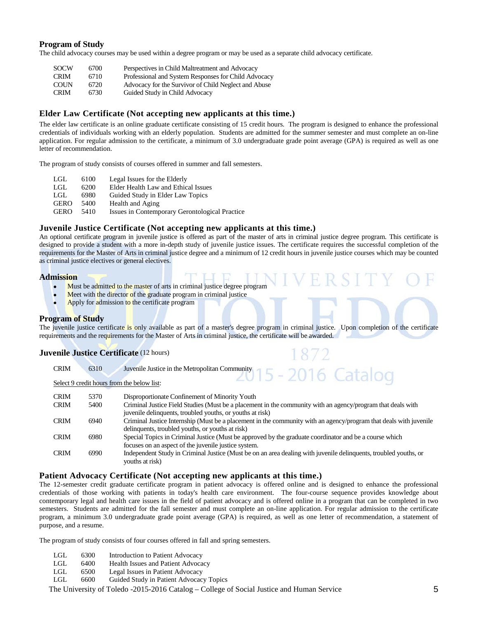## **Program of Study**

The child advocacy courses may be used within a degree program or may be used as a separate child advocacy certificate.

| <b>SOCW</b> | 6700 | Perspectives in Child Maltreatment and Advocacy      |
|-------------|------|------------------------------------------------------|
| <b>CRIM</b> | 6710 | Professional and System Responses for Child Advocacy |
| <b>COUN</b> | 6720 | Advocacy for the Survivor of Child Neglect and Abuse |
| <b>CRIM</b> | 6730 | Guided Study in Child Advocacy                       |

# **Elder Law Certificate (Not accepting new applicants at this time.)**

The elder law certificate is an online graduate certificate consisting of 15 credit hours. The program is designed to enhance the professional credentials of individuals working with an elderly population. Students are admitted for the summer semester and must complete an on-line application. For regular admission to the certificate, a minimum of 3.0 undergraduate grade point average (GPA) is required as well as one letter of recommendation.

The program of study consists of courses offered in summer and fall semesters.

| LGL         | 6100 | Legal Issues for the Elderly                   |
|-------------|------|------------------------------------------------|
| LGL         | 6200 | Elder Health Law and Ethical Issues            |
| LGL.        | 6980 | Guided Study in Elder Law Topics               |
| <b>GERO</b> | 5400 | Health and Aging                               |
| <b>GERO</b> | 5410 | Issues in Contemporary Gerontological Practice |

# **Juvenile Justice Certificate (Not accepting new applicants at this time.)**

An optional certificate program in juvenile justice is offered as part of the master of arts in criminal justice degree program. This certificate is designed to provide a student with a more in-depth study of juvenile justice issues. The certificate requires the successful completion of the requirements for the Master of Arts in criminal justice degree and a minimum of 12 credit hours in juvenile justice courses which may be counted as criminal justice electives or general electives.

#### **Admission**

- Must be admitted to the master of arts in criminal justice degree program
- Meet with the director of the graduate program in criminal justice
- Apply for admission to the certificate program

#### **Program of Study**

The juvenile justice certificate is only available as part of a master's degree program in criminal justice. Upon completion of the certificate requirements and the requirements for the Master of Arts in criminal justice, the certificate will be awarded.

#### **Juvenile Justice Certificate** (12 hours)

| <b>CRIM</b> | 6310 | Juvenile Justice in the Metropolitan Community 15 - 2016 Catalog                                                  |
|-------------|------|-------------------------------------------------------------------------------------------------------------------|
|             |      | Select 9 credit hours from the below list:                                                                        |
| <b>CRIM</b> | 5370 | Disproportionate Confinement of Minority Youth                                                                    |
| <b>CRIM</b> | 5400 | Criminal Justice Field Studies (Must be a placement in the community with an agency/program that deals with       |
|             |      | juvenile delinquents, troubled youths, or youths at risk)                                                         |
| <b>CRIM</b> | 6940 | Criminal Justice Internship (Must be a placement in the community with an agency/program that deals with juvenile |
|             |      | delinquents, troubled youths, or youths at risk)                                                                  |
| <b>CRIM</b> | 6980 | Special Topics in Criminal Justice (Must be approved by the graduate coordinator and be a course which            |
|             |      | focuses on an aspect of the juvenile justice system.                                                              |

CRIM 6990 Independent Study in Criminal Justice (Must be on an area dealing with juvenile delinquents, troubled youths, or youths at risk)

## **Patient Advocacy Certificate (Not accepting new applicants at this time.)**

The 12-semester credit graduate certificate program in patient advocacy is offered online and is designed to enhance the professional credentials of those working with patients in today's health care environment. The four-course sequence provides knowledge about contemporary legal and health care issues in the field of patient advocacy and is offered online in a program that can be completed in two semesters. Students are admitted for the fall semester and must complete an on-line application. For regular admission to the certificate program, a minimum 3.0 undergraduate grade point average (GPA) is required, as well as one letter of recommendation, a statement of purpose, and a resume.

The program of study consists of four courses offered in fall and spring semesters.

- LGL 6300 Introduction to Patient Advocacy<br>LGL 6400 Health Issues and Patient Advoca
- LGL 6400 Health Issues and Patient Advocacy
- LGL 6500 Legal Issues in Patient Advocacy
- LGL 6600 Guided Study in Patient Advocacy Topics

The University of Toledo -2015-2016 Catalog – College of Social Justice and Human Service 5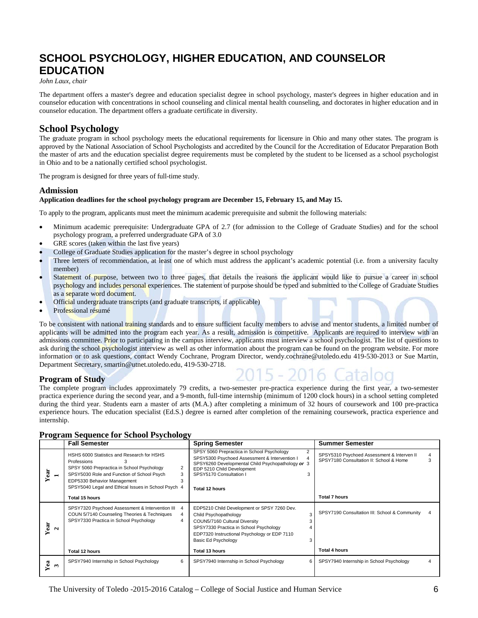# **SCHOOL PSYCHOLOGY, HIGHER EDUCATION, AND COUNSELOR EDUCATION**

#### *John Laux, chair*

The department offers a master's degree and education specialist degree in school psychology, master's degrees in higher education and in counselor education with concentrations in school counseling and clinical mental health counseling, and doctorates in higher education and in counselor education. The department offers a graduate certificate in diversity.

# **School Psychology**

The graduate program in school psychology meets the educational requirements for licensure in Ohio and many other states. The program is approved by the National Association of School Psychologists and accredited by the Council for the Accreditation of Educator Preparation Both the master of arts and the education specialist degree requirements must be completed by the student to be licensed as a school psychologist in Ohio and to be a nationally certified school psychologist.

The program is designed for three years of full-time study.

## **Admission**

#### **Application deadlines for the school psychology program are December 15, February 15, and May 15.**

To apply to the program, applicants must meet the minimum academic prerequisite and submit the following materials:

- Minimum academic prerequisite: Undergraduate GPA of 2.7 (for admission to the College of Graduate Studies) and for the school psychology program, a preferred undergraduate GPA of 3.0
- GRE scores (taken within the last five years)
- College of Graduate Studies application for the master's degree in school psychology
- Three letters of recommendation, at least one of which must address the applicant's academic potential (i.e. from a university faculty member)
- Statement of purpose, between two to three pages, that details the reasons the applicant would like to pursue a career in school psychology and includes personal experiences. The statement of purpose should be typed and submitted to the College of Graduate Studies as a separate word document.
- Official undergraduate transcripts (and graduate transcripts, if applicable)
- Professional résumé

To be consistent with national training standards and to ensure sufficient faculty members to advise and mentor students, a limited number of applicants will be admitted into the program each year. As a result, admission is competitive. Applicants are required to interview with an admissions committee. Prior to participating in the campus interview, applicants must interview a school psychologist. The list of questions to ask during the school psychologist interview as well as other information about the program can be found on the program website. For more information or to ask questions, contact Wendy Cochrane, Program Director, wendy.cochrane@utoledo.edu 419-530-2013 or Sue Martin, Department Secretary, smartin@utnet.utoledo.edu, 419-530-2718.

# **Program of Study**

The complete program includes approximately 79 credits, a two-semester pre-practica experience during the first year, a two-semester practica experience during the second year, and a 9-month, full-time internship (minimum of 1200 clock hours) in a school setting completed during the third year. Students earn a master of arts (M.A.) after completing a minimum of 32 hours of coursework and 100 pre-practica experience hours. The education specialist (Ed.S.) degree is earned after completion of the remaining coursework, practica experience and internship.

|                          | <b>Fall Semester</b>                                                                                                                                                                                                                             |                          | <b>Spring Semester</b>                                                                                                                                                                                                                                               | <b>Summer Semester</b>                                                                |        |
|--------------------------|--------------------------------------------------------------------------------------------------------------------------------------------------------------------------------------------------------------------------------------------------|--------------------------|----------------------------------------------------------------------------------------------------------------------------------------------------------------------------------------------------------------------------------------------------------------------|---------------------------------------------------------------------------------------|--------|
| Year<br>$\blacksquare$   | HSHS 6000 Statistics and Research for HSHS<br>Professions<br>3<br>SPSY 5060 Prepractica in School Psychology<br>SPSY5030 Role and Function of School Psych<br>EDP5330 Behavior Management<br>SPSY5040 Legal and Ethical Issues in School Psych 4 | $\overline{2}$<br>3<br>3 | SPSY 5060 Prepractica in School Psychology<br>$\overline{2}$<br>SPSY5300 Psychoed Assessment & Intervention I<br>$\overline{4}$<br>SPSY6260 Developmental Child Psychopathology or 3<br>EDP 5210 Child Development<br>SPSY5170 Consultation I<br>3<br>Total 12 hours | SPSY5310 Psychoed Assessment & Interven II<br>SPSY7180 Consultation II: School & Home | 4<br>3 |
|                          | Total 15 hours                                                                                                                                                                                                                                   |                          |                                                                                                                                                                                                                                                                      | <b>Total 7 hours</b>                                                                  |        |
| ear<br>$\mathbf{C}$<br>↘ | SPSY7320 Psychoed Assessment & Intervention III 4<br>COUN 5/7140 Counseling Theories & Techniques<br>SPSY7330 Practica in School Psychology                                                                                                      |                          | EDP5210 Child Development or SPSY 7260 Dev.<br>3<br>Child Psychopathology<br>COUN5/7160 Cultural Diversity<br>SPSY7330 Practica in School Psychology<br>EDP7320 Instructional Psychology or EDP 7110<br>Basic Ed Psychology                                          | SPSY7190 Consultation III: School & Community                                         | 4      |
|                          | Total 12 hours                                                                                                                                                                                                                                   |                          | Total 13 hours                                                                                                                                                                                                                                                       | <b>Total 4 hours</b>                                                                  |        |
| Yea<br>$\mathbf{r}$      | SPSY7940 Internship in School Psychology                                                                                                                                                                                                         | 6                        | SPSY7940 Internship in School Psychology<br>6                                                                                                                                                                                                                        | SPSY7940 Internship in School Psychology                                              |        |

# **Program Sequence for School Psychology**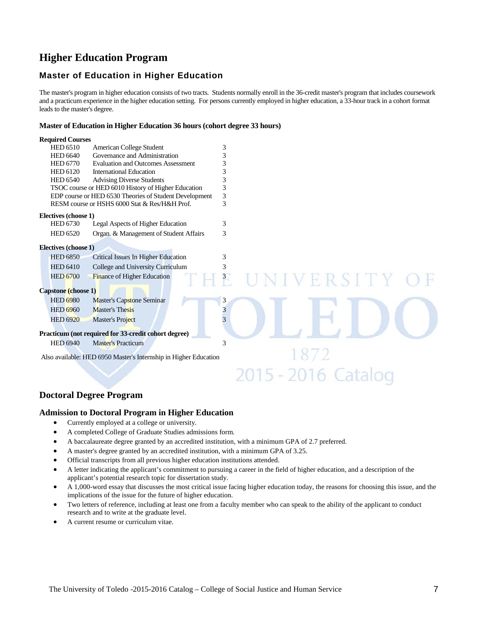# **Higher Education Program**

# **Master of Education in Higher Education**

The master's program in higher education consists of two tracts. Students normally enroll in the 36-credit master's program that includes coursework and a practicum experience in the higher education setting. For persons currently employed in higher education, a 33-hour track in a cohort format leads to the master's degree.

#### **Master of Education in Higher Education 36 hours (cohort degree 33 hours)**

| <b>Required Courses</b>     |                                                                  |   |         |
|-----------------------------|------------------------------------------------------------------|---|---------|
| <b>HED 6510</b>             | American College Student                                         | 3 |         |
| <b>HED 6640</b>             | Governance and Administration                                    | 3 |         |
| <b>HED 6770</b>             | <b>Evaluation and Outcomes Assessment</b>                        | 3 |         |
| <b>HED 6120</b>             | <b>International Education</b>                                   | 3 |         |
| <b>HED 6540</b>             | <b>Advising Diverse Students</b>                                 | 3 |         |
|                             | TSOC course or HED 6010 History of Higher Education              | 3 |         |
|                             | EDP course or HED 6530 Theories of Student Development           | 3 |         |
|                             | RESM course or HSHS 6000 Stat & Res/H&H Prof.                    | 3 |         |
| Electives (choose 1)        |                                                                  |   |         |
| HED 6730                    | Legal Aspects of Higher Education                                | 3 |         |
| <b>HED 6520</b>             | Organ. & Management of Student Affairs                           | 3 |         |
| <b>Electives (choose 1)</b> |                                                                  |   |         |
| <b>HED 6850</b>             | Critical Issues In Higher Education                              | 3 |         |
| <b>HED 6410</b>             | College and University Curriculum                                | 3 |         |
| <b>HED 6700</b>             | <b>Finance of Higher Education</b>                               |   | IVERSIT |
| Capstone (choose 1)         |                                                                  |   |         |
| <b>HED 6980</b>             | <b>Master's Capstone Seminar</b>                                 | 3 |         |
| <b>HED 6960</b>             | <b>Master's Thesis</b>                                           | 3 |         |
| <b>HED 6920</b>             | Master's Project                                                 | 3 |         |
|                             | Practicum (not required for 33-credit cohort degree)             |   |         |
| <b>HED 6940</b>             | <b>Master's Practicum</b>                                        | 3 |         |
|                             | Also available: HED 6950 Master's Internship in Higher Education |   |         |

# **Doctoral Degree Program**

# **Admission to Doctoral Program in Higher Education**

- Currently employed at a college or university.
- A completed College of Graduate Studies admissions form.
- A baccalaureate degree granted by an accredited institution, with a minimum GPA of 2.7 preferred.
- A master's degree granted by an accredited institution, with a minimum GPA of 3.25.
- Official transcripts from all previous higher education institutions attended.
- A letter indicating the applicant's commitment to pursuing a career in the field of higher education, and a description of the applicant's potential research topic for dissertation study.
- A 1,000-word essay that discusses the most critical issue facing higher education today, the reasons for choosing this issue, and the implications of the issue for the future of higher education.

2015 - 2016 Catalog

- Two letters of reference, including at least one from a faculty member who can speak to the ability of the applicant to conduct research and to write at the graduate level.
- A current resume or curriculum vitae.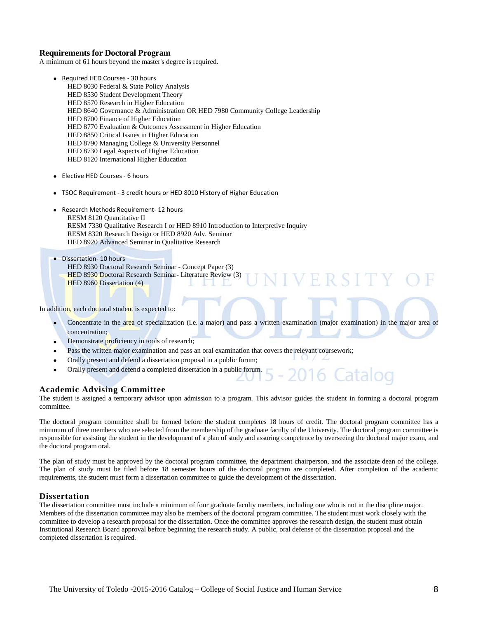# **Requirements for Doctoral Program**

A minimum of 61 hours beyond the master's degree is required.

- Required HED Courses 30 hours HED 8030 Federal & State Policy Analysis HED 8530 Student Development Theory HED 8570 Research in Higher Education HED 8640 Governance & Administration OR HED 7980 Community College Leadership HED 8700 Finance of Higher Education HED 8770 Evaluation & Outcomes Assessment in Higher Education HED 8850 Critical Issues in Higher Education HED 8790 Managing College & University Personnel HED 8730 Legal Aspects of Higher Education HED 8120 International Higher Education
- Elective HED Courses 6 hours
- TSOC Requirement 3 credit hours or HED 8010 History of Higher Education
- Research Methods Requirement- 12 hours RESM 8120 Quantitative II RESM 7330 Qualitative Research I or HED 8910 Introduction to Interpretive Inquiry RESM 8320 Research Design or HED 8920 Adv. Seminar HED 8920 Advanced Seminar in Qualitative Research
- Dissertation- 10 hours HED 8930 Doctoral Research Seminar - Concept Paper (3)
	- HED 8930 Doctoral Research Seminar- Literature Review (3) HED 8960 Dissertation (4) de la Ro

In addition, each doctoral student is expected to:

Concentrate in the area of specialization (i.e. a major) and pass a written examination (major examination) in the major area of concentration;

Ħ.

6

- Demonstrate **proficiency** in tools of research;
- Pass the written major examination and pass an oral examination that covers the relevant coursework;
- Orally present and defend a dissertation proposal in a public forum;
- Orally present and defend a completed dissertation in a public forum.

#### **Academic Advising Committee**

The student is assigned a temporary advisor upon admission to a program. This advisor guides the student in forming a doctoral program committee.

The doctoral program committee shall be formed before the student completes 18 hours of credit. The doctoral program committee has a minimum of three members who are selected from the membership of the graduate faculty of the University. The doctoral program committee is responsible for assisting the student in the development of a plan of study and assuring competence by overseeing the doctoral major exam, and the doctoral program oral.

The plan of study must be approved by the doctoral program committee, the department chairperson, and the associate dean of the college. The plan of study must be filed before 18 semester hours of the doctoral program are completed. After completion of the academic requirements, the student must form a dissertation committee to guide the development of the dissertation.

#### **Dissertation**

The dissertation committee must include a minimum of four graduate faculty members, including one who is not in the discipline major. Members of the dissertation committee may also be members of the doctoral program committee. The student must work closely with the committee to develop a research proposal for the dissertation. Once the committee approves the research design, the student must obtain Institutional Research Board approval before beginning the research study. A public, oral defense of the dissertation proposal and the completed dissertation is required.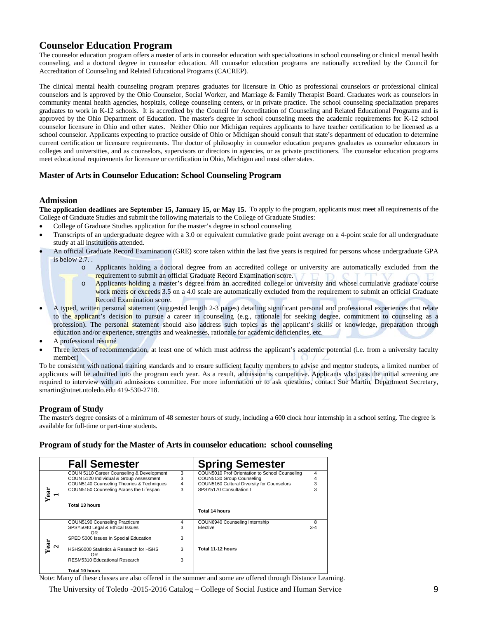# **Counselor Education Program**

The counselor education program offers a master of arts in counselor education with specializations in school counseling or clinical mental health counseling, and a doctoral degree in counselor education. All counselor education programs are nationally accredited by the Council for Accreditation of Counseling and Related Educational Programs (CACREP).

The clinical mental health counseling program prepares graduates for licensure in Ohio as professional counselors or professional clinical counselors and is approved by the Ohio Counselor, Social Worker, and Marriage & Family Therapist Board. Graduates work as counselors in community mental health agencies, hospitals, college counseling centers, or in private practice. The school counseling specialization prepares graduates to work in K-12 schools. It is accredited by the Council for Accreditation of Counseling and Related Educational Programs and is approved by the Ohio Department of Education. The master's degree in school counseling meets the academic requirements for K-12 school counselor licensure in Ohio and other states. Neither Ohio nor Michigan requires applicants to have teacher certification to be licensed as a school counselor. Applicants expecting to practice outside of Ohio or Michigan should consult that state's department of education to determine current certification or licensure requirements. The doctor of philosophy in counselor education prepares graduates as counselor educators in colleges and universities, and as counselors, supervisors or directors in agencies, or as private practitioners. The counselor education programs meet educational requirements for licensure or certification in Ohio, Michigan and most other states.

# **Master of Arts in Counselor Education: School Counseling Program**

# **Admission**

**The application deadlines are September 15, January 15, or May 15.** To apply to the program, applicants must meet all requirements of the College of Graduate Studies and submit the following materials to the College of Graduate Studies:

- College of Graduate Studies application for the master's degree in school counseling
- Transcripts of an undergraduate degree with a 3.0 or equivalent cumulative grade point average on a 4-point scale for all undergraduate study at all institutions attended.
- An official Graduate Record Examination (GRE) score taken within the last five years is required for persons whose undergraduate GPA is below 2.7. .
	- Applicants holding a doctoral degree from an accredited college or university are automatically excluded from the requirement to submit an official Graduate Record Examination score.
	- o Applicants holding a master's degree from an accredited college or university and whose cumulative graduate course work meets or exceeds 3.5 on a 4.0 scale are automatically excluded from the requirement to submit an official Graduate Record Examination score.
- A typed, written personal statement (suggested length 2-3 pages) detailing significant personal and professional experiences that relate to the applicant's decision to pursue a career in counseling (e.g., rationale for seeking degree, commitment to counseling as a profession). The personal statement should also address such topics as the applicant's skills or knowledge, preparation through education and/or experience, strengths and weaknesses, rationale for academic deficiencies, etc.
- A professional résumé
- Three letters of recommendation, at least one of which must address the applicant's academic potential (i.e. from a university faculty member)

To be consistent with national training standards and to ensure sufficient faculty members to advise and mentor students, a limited number of applicants will be admitted into the program each year. As a result, admission is competitive. Applicants who pass the initial screening are required to interview with an admissions committee. For more information or to ask questions, contact Sue Martin, Department Secretary, smartin@utnet.utoledo.edu 419-530-2718.

# **Program of Study**

The master's degree consists of a minimum of 48 semester hours of study, including a 600 clock hour internship in a school setting. The degree is available for full-time or part-time students.

# **Program of study for the Master of Arts in counselor education: school counseling**

|                         | <b>Fall Semester</b>                      |                         | <b>Spring Semester</b>                         |         |
|-------------------------|-------------------------------------------|-------------------------|------------------------------------------------|---------|
|                         | COUN 5110 Career Counseling & Development | 3                       | COUN5010 Prof Orientation to School Counseling | 4       |
|                         | COUN 5120 Individual & Group Assessment   | 3                       | COUN5130 Group Counseling                      |         |
|                         | COUN5140 Counseling Theories & Techniques | $\overline{\mathbf{4}}$ | COUN5160 Cultural Diversity for Counselors     |         |
|                         | COUN5150 Counseling Across the Lifespan   | 3                       | SPSY5170 Consultation I                        |         |
| Year                    | Total 13 hours                            |                         |                                                |         |
|                         |                                           |                         | Total 14 hours                                 |         |
|                         | COUN5190 Counseling Practicum             | 4                       | COUN6940 Counseling Internship                 | 8       |
|                         | SPSY5040 Legal & Ethical Issues           | 3                       | Elective                                       | $3 - 4$ |
|                         | OR.                                       |                         |                                                |         |
|                         | SPED 5000 Issues in Special Education     | 3                       |                                                |         |
| Year<br>$\mathbf{\sim}$ | HSHS6000 Statistics & Research for HSHS   | 3                       | Total 11-12 hours                              |         |
|                         | OR.                                       |                         |                                                |         |
|                         | RESM5310 Educational Research             | 3                       |                                                |         |
|                         | Total 10 hours                            |                         |                                                |         |

Note: Many of these classes are also offered in the summer and some are offered through Distance Learning.

The University of Toledo -2015-2016 Catalog – College of Social Justice and Human Service 9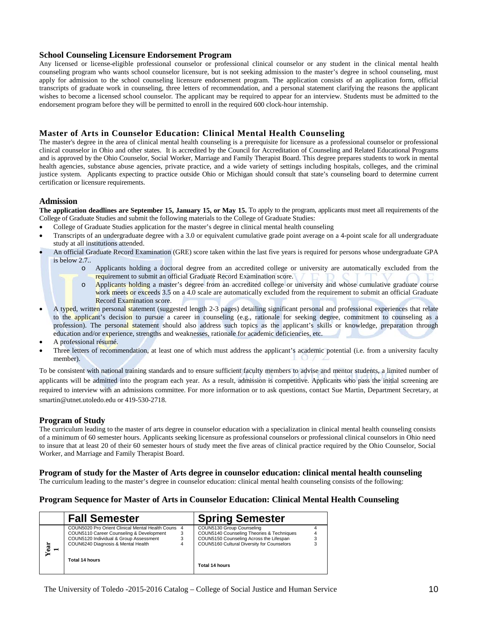## **School Counseling Licensure Endorsement Program**

Any licensed or license-eligible professional counselor or professional clinical counselor or any student in the clinical mental health counseling program who wants school counselor licensure, but is not seeking admission to the master's degree in school counseling, must apply for admission to the school counseling licensure endorsement program. The application consists of an application form, official transcripts of graduate work in counseling, three letters of recommendation, and a personal statement clarifying the reasons the applicant wishes to become a licensed school counselor. The applicant may be required to appear for an interview. Students must be admitted to the endorsement program before they will be permitted to enroll in the required 600 clock-hour internship.

# **Master of Arts in Counselor Education: Clinical Mental Health Counseling**

The master's degree in the area of clinical mental health counseling is a prerequisite for licensure as a professional counselor or professional clinical counselor in Ohio and other states. It is accredited by the Council for Accreditation of Counseling and Related Educational Programs and is approved by the Ohio Counselor, Social Worker, Marriage and Family Therapist Board. This degree prepares students to work in mental health agencies, substance abuse agencies, private practice, and a wide variety of settings including hospitals, colleges, and the criminal justice system. Applicants expecting to practice outside Ohio or Michigan should consult that state's counseling board to determine current certification or licensure requirements.

## **Admission**

**The application deadlines are September 15, January 15, or May 15.** To apply to the program, applicants must meet all requirements of the College of Graduate Studies and submit the following materials to the College of Graduate Studies:

- College of Graduate Studies application for the master's degree in clinical mental health counseling
- Transcripts of an undergraduate degree with a 3.0 or equivalent cumulative grade point average on a 4-point scale for all undergraduate study at all institutions attended.
- An official Graduate Record Examination (GRE) score taken within the last five years is required for persons whose undergraduate GPA is below 2.7..
	- o Applicants holding a doctoral degree from an accredited college or university are automatically excluded from the requirement to submit an official Graduate Record Examination score.
	- o Applicants holding a master's degree from an accredited college or university and whose cumulative graduate course work meets or exceeds 3.5 on a 4.0 scale are automatically excluded from the requirement to submit an official Graduate Record Examination score.
- A typed, written personal statement (suggested length 2-3 pages) detailing significant personal and professional experiences that relate to the applicant's decision to pursue a career in counseling (e.g., rationale for seeking degree, commitment to counseling as a profession). The personal statement should also address such topics as the applicant's skills or knowledge, preparation through education and/or experience, strengths and weaknesses, rationale for academic deficiencies, etc.
- A professional résumé.
- Three letters of recommendation, at least one of which must address the applicant's academic potential (i.e. from a university faculty member).

To be consistent with national training standards and to ensure sufficient faculty members to advise and mentor students, a limited number of applicants will be admitted into the program each year. As a result, admission is competitive. Applicants who pass the initial screening are required to interview with an admissions committee. For more information or to ask questions, contact Sue Martin, Department Secretary, at smartin@utnet.utoledo.edu or 419-530-2718.

# **Program of Study**

The curriculum leading to the master of arts degree in counselor education with a specialization in clinical mental health counseling consists of a minimum of 60 semester hours. Applicants seeking licensure as professional counselors or professional clinical counselors in Ohio need to insure that at least 20 of their 60 semester hours of study meet the five areas of clinical practice required by the Ohio Counselor, Social Worker, and Marriage and Family Therapist Board.

#### **Program of study for the Master of Arts degree in counselor education: clinical mental health counseling**

The curriculum leading to the master's degree in counselor education: clinical mental health counseling consists of the following:

# **Program Sequence for Master of Arts in Counselor Education: Clinical Mental Health Counseling**

|      | <b>Fall Semester</b>                                                                                                                                                                                  |   | <b>Spring Semester</b>                                                                                                                                                            |  |
|------|-------------------------------------------------------------------------------------------------------------------------------------------------------------------------------------------------------|---|-----------------------------------------------------------------------------------------------------------------------------------------------------------------------------------|--|
| Year | COUN5020 Pro Orient Clinical Mental Health Couns<br>COUN5110 Career Counseling & Development<br>COUN5120 Individual & Group Assessment<br>COUN6240 Diagnosis & Mental Health<br><b>Total 14 hours</b> | 4 | COUN5130 Group Counseling<br>COUN5140 Counseling Theories & Techniques<br>COUN5150 Counseling Across the Lifespan<br>COUN5160 Cultural Diversity for Counselors<br>Total 14 hours |  |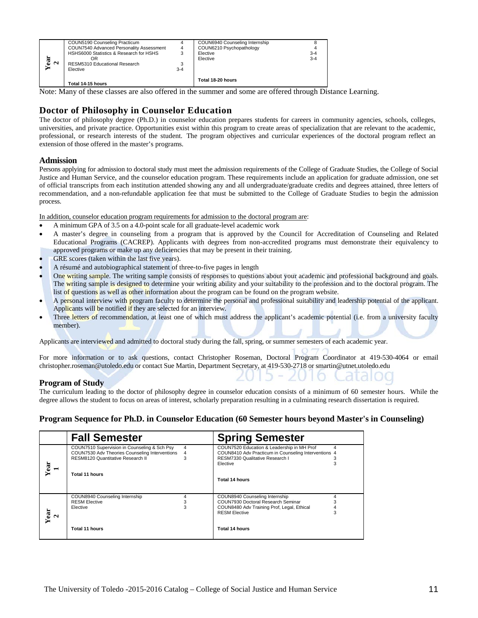| ≅<br>$\mathbf{\sim}$ | COUN5190 Counseling Practicum<br>COUN7540 Advanced Personality Assessment<br>HSHS6000 Statistics & Research for HSHS<br>ΟR<br>RESM5310 Educational Research<br>Elective | 4<br>3-4 | COUN6940 Counseling Internship<br>COUN6210 Psychopathology<br>Elective<br>Elective | $3 - 4$<br>$3 - 4$ |
|----------------------|-------------------------------------------------------------------------------------------------------------------------------------------------------------------------|----------|------------------------------------------------------------------------------------|--------------------|
|                      | Total 14-15 hours                                                                                                                                                       |          | Total 18-20 hours                                                                  |                    |

# **Doctor of Philosophy in Counselor Education**

# **Admission**

- A minimum GPA of 3.5 on a 4.0-point scale for all graduate-level academic work
- A master's degree in counseling from a program that is approved by the Council for Accreditation of Counseling and Related Educational Programs (CACREP). Applicants with degrees from non-accredited programs must demonstrate their equivalency to approved programs or make up any deficiencies that may be present in their training.
- GRE scores (taken within the last five years).
- A résumé and autobiographical statement of three-to-five pages in length
- One writing sample. The writing sample consists of responses to questions about your academic and professional background and goals. The writing sample is designed to determine your writing ability and your suitability to the profession and to the doctoral program. The list of questions as well as other information about the program can be found on the program website.
- A personal interview with program faculty to determine the personal and professional suitability and leadership potential of the applicant. Applicants will be notified if they are selected for an interview.
- Three letters of recommendation, at least one of which must address the applicant's academic potential (i.e. from a university faculty member).

# **Program of Study**

# **Program Sequence for Ph.D. in Counselor Education (60 Semester hours beyond Master's in Counseling)**

| $\frac{Year}{2}$                                                                    | 0R<br>RESM5310 Educational Research<br>3                                                                                                                                                                                                                                                                                                                                                                                                                                                                                                                                                                                                                                                                                                                                                                                                                                                                                                                                                                                                                                                                                                                                                                                                                                                                                                                                                                                                                                                                                                                                                                                                                                                                                                                                                                                                                                                                                                                                                                                                                                                                                                                                                                                                                  |             | <b>LICOUT</b><br>Elective                                                                                                                  | $3 - 4$ |                  |    |
|-------------------------------------------------------------------------------------|-----------------------------------------------------------------------------------------------------------------------------------------------------------------------------------------------------------------------------------------------------------------------------------------------------------------------------------------------------------------------------------------------------------------------------------------------------------------------------------------------------------------------------------------------------------------------------------------------------------------------------------------------------------------------------------------------------------------------------------------------------------------------------------------------------------------------------------------------------------------------------------------------------------------------------------------------------------------------------------------------------------------------------------------------------------------------------------------------------------------------------------------------------------------------------------------------------------------------------------------------------------------------------------------------------------------------------------------------------------------------------------------------------------------------------------------------------------------------------------------------------------------------------------------------------------------------------------------------------------------------------------------------------------------------------------------------------------------------------------------------------------------------------------------------------------------------------------------------------------------------------------------------------------------------------------------------------------------------------------------------------------------------------------------------------------------------------------------------------------------------------------------------------------------------------------------------------------------------------------------------------------|-------------|--------------------------------------------------------------------------------------------------------------------------------------------|---------|------------------|----|
|                                                                                     | Elective<br>$3 - 4$                                                                                                                                                                                                                                                                                                                                                                                                                                                                                                                                                                                                                                                                                                                                                                                                                                                                                                                                                                                                                                                                                                                                                                                                                                                                                                                                                                                                                                                                                                                                                                                                                                                                                                                                                                                                                                                                                                                                                                                                                                                                                                                                                                                                                                       |             |                                                                                                                                            |         |                  |    |
|                                                                                     | Total 14-15 hours                                                                                                                                                                                                                                                                                                                                                                                                                                                                                                                                                                                                                                                                                                                                                                                                                                                                                                                                                                                                                                                                                                                                                                                                                                                                                                                                                                                                                                                                                                                                                                                                                                                                                                                                                                                                                                                                                                                                                                                                                                                                                                                                                                                                                                         |             | Total 18-20 hours                                                                                                                          |         |                  |    |
|                                                                                     | Note: Many of these classes are also offered in the summer and some are offered through Distance Learning.                                                                                                                                                                                                                                                                                                                                                                                                                                                                                                                                                                                                                                                                                                                                                                                                                                                                                                                                                                                                                                                                                                                                                                                                                                                                                                                                                                                                                                                                                                                                                                                                                                                                                                                                                                                                                                                                                                                                                                                                                                                                                                                                                |             |                                                                                                                                            |         |                  |    |
| <b>Admission</b>                                                                    | Doctor of Philosophy in Counselor Education<br>The doctor of philosophy degree (Ph.D.) in counselor education prepares students for careers in community agencies, schools, colleges,<br>universities, and private practice. Opportunities exist within this program to create areas of specialization that are relevant to the academic,<br>professional, or research interests of the student. The program objectives and curricular experiences of the doctoral program reflect an<br>extension of those offered in the master's programs.                                                                                                                                                                                                                                                                                                                                                                                                                                                                                                                                                                                                                                                                                                                                                                                                                                                                                                                                                                                                                                                                                                                                                                                                                                                                                                                                                                                                                                                                                                                                                                                                                                                                                                             |             |                                                                                                                                            |         |                  |    |
| process.                                                                            | Persons applying for admission to doctoral study must meet the admission requirements of the College of Graduate Studies, the College of Social<br>Justice and Human Service, and the counselor education program. These requirements include an application for graduate admission, one set<br>of official transcripts from each institution attended showing any and all undergraduate/graduate credits and degrees attained, three letters of<br>recommendation, and a non-refundable application fee that must be submitted to the College of Graduate Studies to begin the admission                                                                                                                                                                                                                                                                                                                                                                                                                                                                                                                                                                                                                                                                                                                                                                                                                                                                                                                                                                                                                                                                                                                                                                                                                                                                                                                                                                                                                                                                                                                                                                                                                                                                 |             |                                                                                                                                            |         |                  |    |
| $\bullet$<br>$\bullet$<br>٠<br>٠<br>$\bullet$<br>$\bullet$<br>$\bullet$<br>member). | In addition, counselor education program requirements for admission to the doctoral program are:<br>A minimum GPA of 3.5 on a 4.0-point scale for all graduate-level academic work<br>A master's degree in counseling from a program that is approved by the Council for Accreditation of Counseling and Related<br>Educational Programs (CACREP). Applicants with degrees from non-accredited programs must demonstrate their equivalency to<br>approved programs or make up any deficiencies that may be present in their training.<br>GRE scores (taken within the last five years).<br>A résumé and autobiographical statement of three-to-five pages in length<br>One writing sample. The writing sample consists of responses to questions about your academic and professional background and goals.<br>The writing sample is designed to determine your writing ability and your suitability to the profession and to the doctoral program. The<br>list of questions as well as other information about the program can be found on the program website.<br>A personal interview with program faculty to determine the personal and professional suitability and leadership potential of the applicant.<br>Applicants will be notified if they are selected for an interview.<br>Three letters of recommendation, at least one of which must address the applicant's academic potential (i.e. from a university faculty<br>Applicants are interviewed and admitted to doctoral study during the fall, spring, or summer semesters of each academic year.<br>For more information or to ask questions, contact Christopher Roseman, Doctoral Program Coordinator at 419-530-4064 or email<br>christopher.roseman@utoledo.edu or contact Sue Martin, Department Secretary, at 419-530-2718 or smartin@utnet.utoledo.edu<br><b>Program of Study</b><br>The curriculum leading to the doctor of philosophy degree in counselor education consists of a minimum of 60 semester hours. While the<br>degree allows the student to focus on areas of interest, scholarly preparation resulting in a culminating research dissertation is required.<br>Program Sequence for Ph.D. in Counselor Education (60 Semester hours beyond Master's in Counseling) |             |                                                                                                                                            |         |                  |    |
|                                                                                     |                                                                                                                                                                                                                                                                                                                                                                                                                                                                                                                                                                                                                                                                                                                                                                                                                                                                                                                                                                                                                                                                                                                                                                                                                                                                                                                                                                                                                                                                                                                                                                                                                                                                                                                                                                                                                                                                                                                                                                                                                                                                                                                                                                                                                                                           |             |                                                                                                                                            |         |                  |    |
|                                                                                     | <b>Fall Semester</b><br>COUN7510 Supervision in Counseling & Sch Psy                                                                                                                                                                                                                                                                                                                                                                                                                                                                                                                                                                                                                                                                                                                                                                                                                                                                                                                                                                                                                                                                                                                                                                                                                                                                                                                                                                                                                                                                                                                                                                                                                                                                                                                                                                                                                                                                                                                                                                                                                                                                                                                                                                                      | 4           | <b>Spring Semester</b><br>COUN7520 Education & Leadership in MH Prof                                                                       |         | $\overline{4}$   |    |
| Year                                                                                | COUN7530 Adv Theories Counseling Interventions<br>RESM8120 Quantitative Research II<br>Total 11 hours                                                                                                                                                                                                                                                                                                                                                                                                                                                                                                                                                                                                                                                                                                                                                                                                                                                                                                                                                                                                                                                                                                                                                                                                                                                                                                                                                                                                                                                                                                                                                                                                                                                                                                                                                                                                                                                                                                                                                                                                                                                                                                                                                     | 4<br>3      | COUN8410 Adv Practicum in Counseling Interventions 4<br>RESM7330 Qualitative Research I<br>Elective                                        |         | 3<br>3           |    |
|                                                                                     |                                                                                                                                                                                                                                                                                                                                                                                                                                                                                                                                                                                                                                                                                                                                                                                                                                                                                                                                                                                                                                                                                                                                                                                                                                                                                                                                                                                                                                                                                                                                                                                                                                                                                                                                                                                                                                                                                                                                                                                                                                                                                                                                                                                                                                                           |             | Total 14 hours                                                                                                                             |         |                  |    |
| $\frac{1}{2}$                                                                       | COUN8940 Counseling Internship<br><b>RESM Elective</b><br>Elective                                                                                                                                                                                                                                                                                                                                                                                                                                                                                                                                                                                                                                                                                                                                                                                                                                                                                                                                                                                                                                                                                                                                                                                                                                                                                                                                                                                                                                                                                                                                                                                                                                                                                                                                                                                                                                                                                                                                                                                                                                                                                                                                                                                        | 4<br>3<br>3 | COUN8940 Counseling Internship<br>COUN7930 Doctoral Research Seminar<br>COUN8480 Adv Training Prof, Legal, Ethical<br><b>RESM Elective</b> |         | 4<br>3<br>4<br>3 |    |
|                                                                                     | Total 11 hours                                                                                                                                                                                                                                                                                                                                                                                                                                                                                                                                                                                                                                                                                                                                                                                                                                                                                                                                                                                                                                                                                                                                                                                                                                                                                                                                                                                                                                                                                                                                                                                                                                                                                                                                                                                                                                                                                                                                                                                                                                                                                                                                                                                                                                            |             | Total 14 hours                                                                                                                             |         |                  |    |
|                                                                                     | The University of Toledo -2015-2016 Catalog – College of Social Justice and Human Service                                                                                                                                                                                                                                                                                                                                                                                                                                                                                                                                                                                                                                                                                                                                                                                                                                                                                                                                                                                                                                                                                                                                                                                                                                                                                                                                                                                                                                                                                                                                                                                                                                                                                                                                                                                                                                                                                                                                                                                                                                                                                                                                                                 |             |                                                                                                                                            |         |                  | 11 |